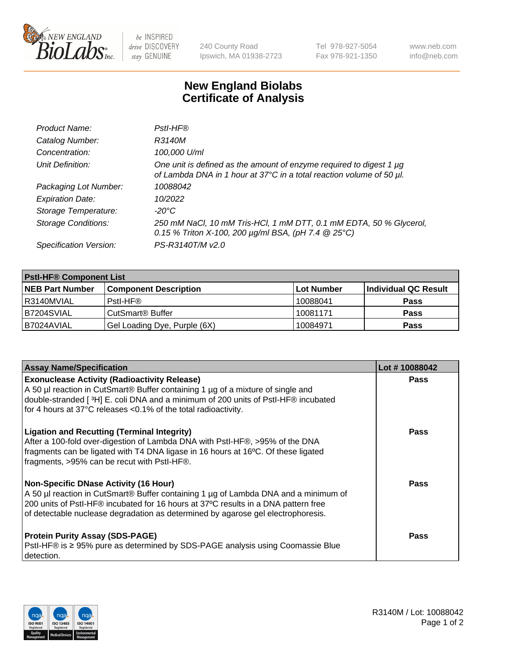

 $be$  INSPIRED drive DISCOVERY stay GENUINE

240 County Road Ipswich, MA 01938-2723 Tel 978-927-5054 Fax 978-921-1350 www.neb.com info@neb.com

## **New England Biolabs Certificate of Analysis**

| Product Name:              | Pstl-HF®                                                                                                                                             |
|----------------------------|------------------------------------------------------------------------------------------------------------------------------------------------------|
| Catalog Number:            | R3140M                                                                                                                                               |
| Concentration:             | 100,000 U/ml                                                                                                                                         |
| Unit Definition:           | One unit is defined as the amount of enzyme required to digest 1 µg<br>of Lambda DNA in 1 hour at 37°C in a total reaction volume of 50 µl.          |
| Packaging Lot Number:      | 10088042                                                                                                                                             |
| <b>Expiration Date:</b>    | 10/2022                                                                                                                                              |
| Storage Temperature:       | $-20^{\circ}$ C                                                                                                                                      |
| <b>Storage Conditions:</b> | 250 mM NaCl, 10 mM Tris-HCl, 1 mM DTT, 0.1 mM EDTA, 50 % Glycerol,<br>0.15 % Triton X-100, 200 $\mu$ g/ml BSA, (pH 7.4 $\textcircled{25}^{\circ}$ C) |
| Specification Version:     | PS-R3140T/M v2.0                                                                                                                                     |

| <b>PstI-HF® Component List</b> |                                    |                   |                      |  |
|--------------------------------|------------------------------------|-------------------|----------------------|--|
| <b>NEB Part Number</b>         | <b>Component Description</b>       | <b>Lot Number</b> | Individual QC Result |  |
| I R3140MVIAL                   | Pstl-HF®                           | 10088041          | <b>Pass</b>          |  |
| B7204SVIAL                     | <b>CutSmart<sup>®</sup> Buffer</b> | 10081171          | <b>Pass</b>          |  |
| B7024AVIAL                     | Gel Loading Dye, Purple (6X)       | 10084971          | <b>Pass</b>          |  |

| <b>Assay Name/Specification</b>                                                                                                                                                                                                                                                                               | Lot #10088042 |
|---------------------------------------------------------------------------------------------------------------------------------------------------------------------------------------------------------------------------------------------------------------------------------------------------------------|---------------|
| <b>Exonuclease Activity (Radioactivity Release)</b><br>A 50 µl reaction in CutSmart® Buffer containing 1 µg of a mixture of single and                                                                                                                                                                        | <b>Pass</b>   |
| double-stranded [3H] E. coli DNA and a minimum of 200 units of PstI-HF® incubated<br>for 4 hours at 37°C releases <0.1% of the total radioactivity.                                                                                                                                                           |               |
| <b>Ligation and Recutting (Terminal Integrity)</b><br>After a 100-fold over-digestion of Lambda DNA with PstI-HF®, >95% of the DNA<br>fragments can be ligated with T4 DNA ligase in 16 hours at 16°C. Of these ligated<br>fragments, >95% can be recut with PstI-HF®.                                        | Pass          |
| <b>Non-Specific DNase Activity (16 Hour)</b><br>A 50 µl reaction in CutSmart® Buffer containing 1 µg of Lambda DNA and a minimum of<br>200 units of PstI-HF® incubated for 16 hours at 37°C results in a DNA pattern free<br>of detectable nuclease degradation as determined by agarose gel electrophoresis. | Pass          |
| <b>Protein Purity Assay (SDS-PAGE)</b><br>PstI-HF® is ≥ 95% pure as determined by SDS-PAGE analysis using Coomassie Blue<br>I detection.                                                                                                                                                                      | Pass          |